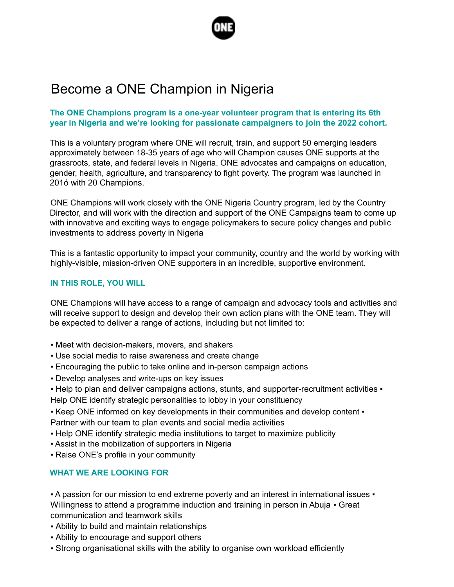

# Become a ONE Champion in Nigeria

### **The ONE Champions program is a one-year volunteer program that is entering its 6th year in Nigeria and we're looking for passionate campaigners to join the 2022 cohort.**

This is a voluntary program where ONE will recruit, train, and support 50 emerging leaders approximately between 18-35 years of age who will Champion causes ONE supports at the grassroots, state, and federal levels in Nigeria. ONE advocates and campaigns on education, gender, health, agriculture, and transparency to fight poverty. The program was launched in 201ó with 20 Champions.

ONE Champions will work closely with the ONE Nigeria Country program, led by the Country Director, and will work with the direction and support of the ONE Campaigns team to come up with innovative and exciting ways to engage policymakers to secure policy changes and public investments to address poverty in Nigeria

This is a fantastic opportunity to impact your community, country and the world by working with highly-visible, mission-driven ONE supporters in an incredible, supportive environment.

### **IN THIS ROLE, YOU WILL**

ONE Champions will have access to a range of campaign and advocacy tools and activities and will receive support to design and develop their own action plans with the ONE team. They will be expected to deliver a range of actions, including but not limited to:

- Meet with decision-makers, movers, and shakers
- Use social media to raise awareness and create change
- **Encouraging the public to take online and in-person campaign actions**
- Develop analyses and write-ups on key issues
- Help to plan and deliver campaigns actions, stunts, and supporter-recruitment activities •
- Help ONE identify strategic personalities to lobby in your constituency
- Keep ONE informed on key developments in their communities and develop content Partner with our team to plan events and social media activities
- Help ONE identify strategic media institutions to target to maximize publicity
- Assist in the mobilization of supporters in Nigeria
- Raise ONE's profile in your community

## **WHAT WE ARE LOOKING FOR**

• A passion for our mission to end extreme poverty and an interest in international issues • Willingness to attend a programme induction and training in person in Abuja • Great communication and teamwork skills

- Ability to build and maintain relationships
- Ability to encourage and support others
- Strong organisational skills with the ability to organise own workload efficiently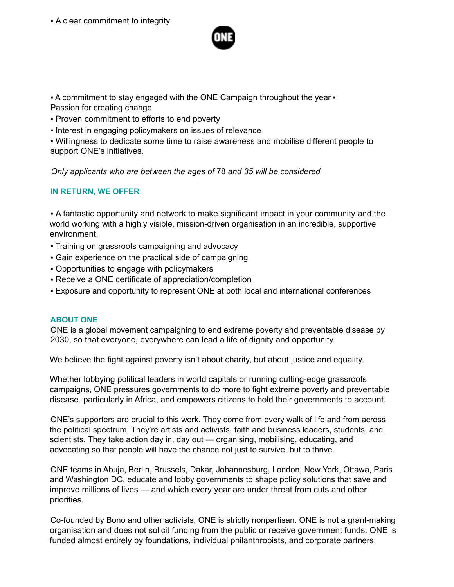▪ A clear commitment to integrity



. A commitment to stay engaged with the ONE Campaign throughout the year  $\cdot$ Passion for creating change

- Proven commitment to efforts to end poverty
- Interest in engaging policymakers on issues of relevance

▪ Willingness to dedicate some time to raise awareness and mobilise different people to support ONE's initiatives.

*Only applicants who are between the ages of* 78 *and 35 will be considered*

## **IN RETURN, WE OFFER**

▪ A fantastic opportunity and network to make significant impact in your community and the world working with a highly visible, mission-driven organisation in an incredible, supportive environment.

- Training on grassroots campaigning and advocacy
- Gain experience on the practical side of campaigning
- Opportunities to engage with policymakers
- Receive a ONE certificate of appreciation/completion
- Exposure and opportunity to represent ONE at both local and international conferences

#### **ABOUT ONE**

ONE is a global movement campaigning to end extreme poverty and preventable disease by 2030, so that everyone, everywhere can lead a life of dignity and opportunity.

We believe the fight against poverty isn't about charity, but about justice and equality.

Whether lobbying political leaders in world capitals or running cutting-edge grassroots campaigns, ONE pressures governments to do more to fight extreme poverty and preventable disease, particularly in Africa, and empowers citizens to hold their governments to account.

ONE's supporters are crucial to this work. They come from every walk of life and from across the political spectrum. They're artists and activists, faith and business leaders, students, and scientists. They take action day in, day out — organising, mobilising, educating, and advocating so that people will have the chance not just to survive, but to thrive.

ONE teams in Abuja, Berlin, Brussels, Dakar, Johannesburg, London, New York, Ottawa, Paris and Washington DC, educate and lobby governments to shape policy solutions that save and improve millions of lives — and which every year are under threat from cuts and other priorities.

Co-founded by Bono and other activists, ONE is strictly nonpartisan. ONE is not a grant-making organisation and does not solicit funding from the public or receive government funds. ONE is funded almost entirely by foundations, individual philanthropists, and corporate partners.